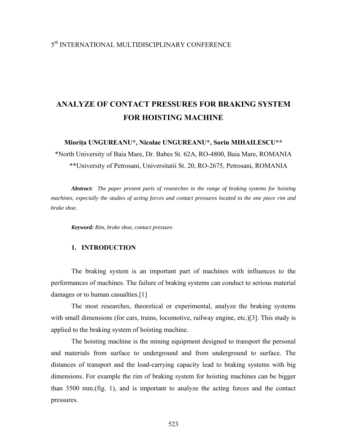### 5th INTERNATIONAL MULTIDISCIPLINARY CONFERENCE

# **ANALYZE OF CONTACT PRESSURES FOR BRAKING SYSTEM FOR HOISTING MACHINE**

**Mioriţa UNGUREANU\*, Nicolae UNGUREANU\*, Sorin MIHAILESCU\*\*** 

\*North University of Baia Mare, Dr. Babes St. 62A, RO-4800, Baia Mare, ROMANIA \*\*University of Petrosani, Universitatii St. 20, RO-2675, Petrosani, ROMANIA

*Abstract: The paper present parts of researches in the range of braking systems for hoisting machines, especially the studies of acting forces and contact pressures located to the one piece rim and brake shoe.* 

*Keyword: Rim, brake shoe, contact pressure.* 

#### **1. INTRODUCTION**

The braking system is an important part of machines with influences to the performances of machines. The failure of braking systems can conduct to serious material damages or to human casualties.[1]

The most researches, theoretical or experimental, analyze the braking systems with small dimensions (for cars, trains, locomotive, railway engine, etc.)[3]. This study is applied to the braking system of hoisting machine.

The hoisting machine is the mining equipment designed to transport the personal and materials from surface to underground and from underground to surface. The distances of transport and the load-carrying capacity lead to braking systems with big dimensions. For example the rim of braking system for hoisting machines can be bigger than 3500 mm.(fig. 1), and is important to analyze the acting forces and the contact pressures.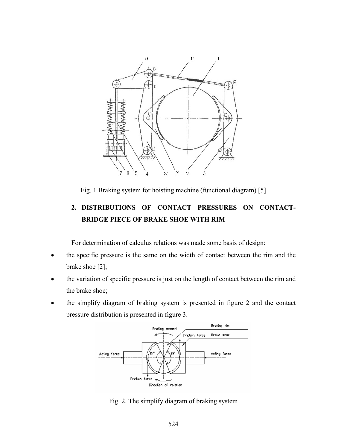

Fig. 1 Braking system for hoisting machine (functional diagram) [5]

## **2. DISTRIBUTIONS OF CONTACT PRESSURES ON CONTACT-BRIDGE PIECE OF BRAKE SHOE WITH RIM**

For determination of calculus relations was made some basis of design:

- the specific pressure is the same on the width of contact between the rim and the brake shoe [2];
- the variation of specific pressure is just on the length of contact between the rim and the brake shoe;
- the simplify diagram of braking system is presented in figure 2 and the contact pressure distribution is presented in figure 3.



Fig. 2. The simplify diagram of braking system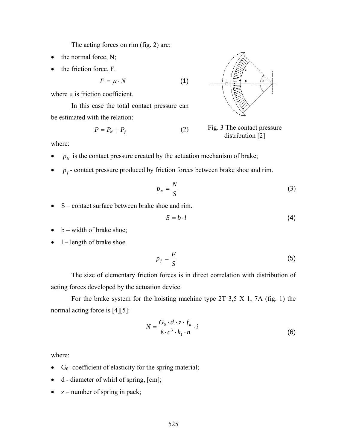The acting forces on rim (fig. 2) are:

- $\bullet$  the normal force, N;
- the friction force, F.

$$
F = \mu \cdot N \tag{1}
$$

where μ is friction coefficient.

 In this case the total contact pressure can be estimated with the relation:

$$
P = P_N + P_f \tag{2}
$$



Fig. 3 The contact pressure distribution [2]

where:

- $p_N$  is the contact pressure created by the actuation mechanism of brake;
- $p_f$  contact pressure produced by friction forces between brake shoe and rim.

$$
p_N = \frac{N}{S} \tag{3}
$$

• S – contact surface between brake shoe and rim.

$$
S = b \cdot l \tag{4}
$$

- $\bullet$  b width of brake shoe;
- $\bullet$  1 length of brake shoe.

$$
p_f = \frac{F}{S} \tag{5}
$$

 The size of elementary friction forces is in direct correlation with distribution of acting forces developed by the actuation device.

 For the brake system for the hoisting machine type 2T 3,5 X 1, 7A (fig. 1) the normal acting force is [4][5]:

$$
N = \frac{G_0 \cdot d \cdot z \cdot f_a}{8 \cdot c^3 \cdot k_1 \cdot n} \cdot i \tag{6}
$$

where:

- $G_0$  coefficient of elasticity for the spring material;
- d diameter of whirl of spring, [cm];
- $z$  number of spring in pack;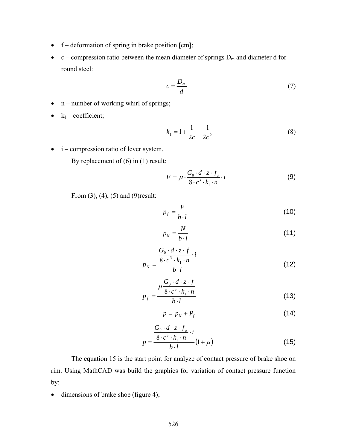- f deformation of spring in brake position [cm];
- c compression ratio between the mean diameter of springs  $D_m$  and diameter d for round steel:

$$
c = \frac{D_m}{d} \tag{7}
$$

- $\bullet$  n number of working whirl of springs;
- $k_1$  coefficient;

$$
k_1 = 1 + \frac{1}{2c} - \frac{1}{2c^2}
$$
 (8)

 $\bullet$  i – compression ratio of lever system.

By replacement of (6) in (1) result:

$$
F = \mu \cdot \frac{G_0 \cdot d \cdot z \cdot f_a}{8 \cdot c^3 \cdot k_1 \cdot n} \cdot i \tag{9}
$$

From (3), (4), (5) and (9)result:

$$
p_f = \frac{F}{b \cdot l} \tag{10}
$$

$$
p_N = \frac{N}{b \cdot l} \tag{11}
$$

$$
p_N = \frac{\frac{G_0 \cdot d \cdot z \cdot f}{8 \cdot c^3 \cdot k_1 \cdot n} \cdot i}{b \cdot l} \tag{12}
$$

$$
p_f = \frac{\mu \frac{G_0 \cdot d \cdot z \cdot f}{8 \cdot c^3 \cdot k_1 \cdot n}}{b \cdot l}
$$
 (13)

$$
p = p_N + P_f \tag{14}
$$

$$
p = \frac{\frac{G_0 \cdot d \cdot z \cdot f_a}{8 \cdot c^3 \cdot k_1 \cdot n} \cdot i}{b \cdot l} (1 + \mu)
$$
 (15)

 The equation 15 is the start point for analyze of contact pressure of brake shoe on rim. Using MathCAD was build the graphics for variation of contact pressure function by:

• dimensions of brake shoe (figure 4);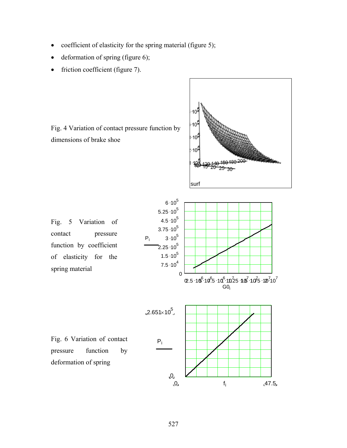- coefficient of elasticity for the spring material (figure 5);
- deformation of spring (figure 6);
- friction coefficient (figure 7).

Fig. 4 Variation of contact pressure function by dimensions of brake shoe



Fig. 5 Variation of contact pressure function by coefficient of elasticity for the spring material



Fig. 6 Variation of contact pressure function by deformation of spring